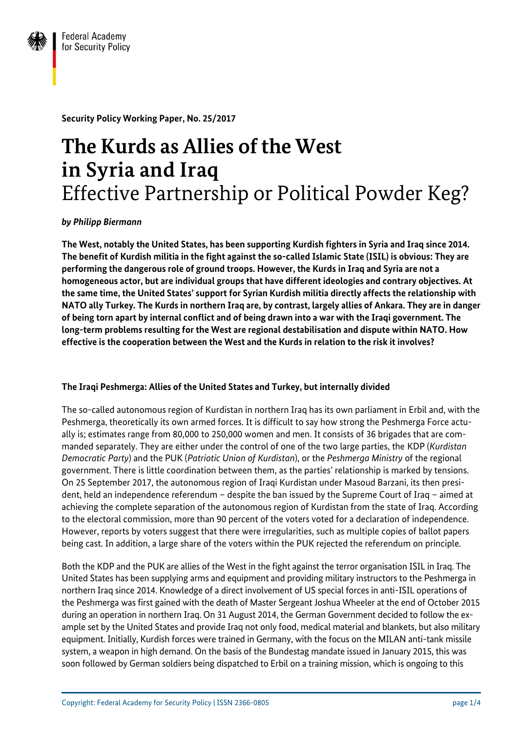

**Security Policy Working Paper, No. 25/2017**

# **The Kurds as Allies of the West in Syria and Iraq** Effective Partnership or Political Powder Keg?

*by Philipp Biermann*

**The West, notably the United States, has been supporting Kurdish fighters in Syria and Iraq since 2014. The benefit of Kurdish militia in the fight against the so-called Islamic State (ISIL) is obvious: They are performing the dangerous role of ground troops. However, the Kurds in Iraq and Syria are not a homogeneous actor, but are individual groups that have different ideologies and contrary objectives. At the same time, the United States' support for Syrian Kurdish militia directly affects the relationship with NATO ally Turkey. The Kurds in northern Iraq are, by contrast, largely allies of Ankara. They are in danger of being torn apart by internal conflict and of being drawn into a war with the Iraqi government. The long-term problems resulting for the West are regional destabilisation and dispute within NATO. How effective is the cooperation between the West and the Kurds in relation to the risk it involves?**

## **The Iraqi Peshmerga: Allies of the United States and Turkey, but internally divided**

The so-called autonomous region of Kurdistan in northern Iraq has its own parliament in Erbil and, with the Peshmerga, theoretically its own armed forces. It is difficult to say how strong the Peshmerga Force actually is; estimates range from 80,000 to 250,000 women and men. It consists of 36 brigades that are commanded separately. They are either under the control of one of the two large parties, the KDP (*Kurdistan Democratic Party*) and the PUK (*Patriotic Union of Kurdistan*), or the *Peshmerga Ministry* of the regional government. There is little coordination between them, as the parties' relationship is marked by tensions. On 25 September 2017, the autonomous region of Iraqi Kurdistan under Masoud Barzani, its then president, held an independence referendum – despite the ban issued by the Supreme Court of Iraq – aimed at achieving the complete separation of the autonomous region of Kurdistan from the state of Iraq. According to the electoral commission, more than 90 percent of the voters voted for a declaration of independence. However, reports by voters suggest that there were irregularities, such as multiple copies of ballot papers being cast. In addition, a large share of the voters within the PUK rejected the referendum on principle.

Both the KDP and the PUK are allies of the West in the fight against the terror organisation ISIL in Iraq. The United States has been supplying arms and equipment and providing military instructors to the Peshmerga in northern Iraq since 2014. Knowledge of a direct involvement of US special forces in anti-ISIL operations of the Peshmerga was first gained with the death of Master Sergeant Joshua Wheeler at the end of October 2015 during an operation in northern Iraq. On 31 August 2014, the German Government decided to follow the example set by the United States and provide Iraq not only food, medical material and blankets, but also military equipment. Initially, Kurdish forces were trained in Germany, with the focus on the MILAN anti-tank missile system, a weapon in high demand. On the basis of the Bundestag mandate issued in January 2015, this was soon followed by German soldiers being dispatched to Erbil on a training mission, which is ongoing to this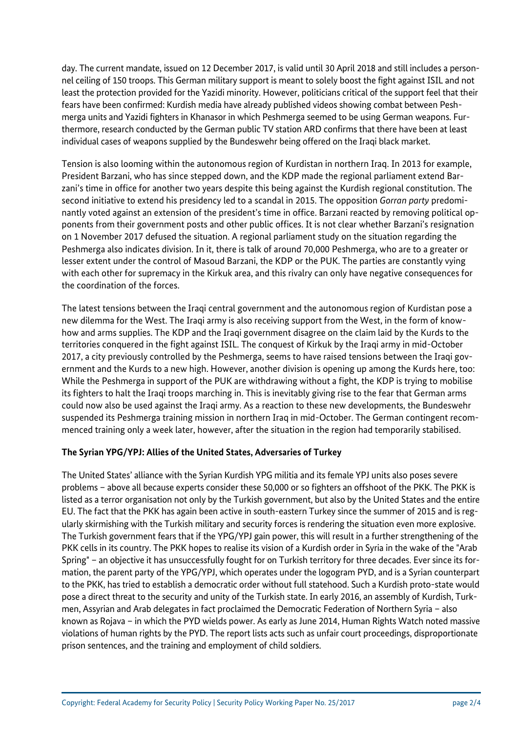day. The current mandate, issued on 12 December 2017, is valid until 30 April 2018 and still includes a personnel ceiling of 150 troops. This German military support is meant to solely boost the fight against ISIL and not least the protection provided for the Yazidi minority. However, politicians critical of the support feel that their fears have been confirmed: Kurdish media have already published videos showing combat between Peshmerga units and Yazidi fighters in Khanasor in which Peshmerga seemed to be using German weapons. Furthermore, research conducted by the German public TV station ARD confirms that there have been at least individual cases of weapons supplied by the Bundeswehr being offered on the Iraqi black market.

Tension is also looming within the autonomous region of Kurdistan in northern Iraq. In 2013 for example, President Barzani, who has since stepped down, and the KDP made the regional parliament extend Barzani's time in office for another two years despite this being against the Kurdish regional constitution. The second initiative to extend his presidency led to a scandal in 2015. The opposition *Gorran party* predominantly voted against an extension of the president's time in office. Barzani reacted by removing political opponents from their government posts and other public offices. It is not clear whether Barzani's resignation on 1 November 2017 defused the situation. A regional parliament study on the situation regarding the Peshmerga also indicates division. In it, there is talk of around 70,000 Peshmerga, who are to a greater or lesser extent under the control of Masoud Barzani, the KDP or the PUK. The parties are constantly vying with each other for supremacy in the Kirkuk area, and this rivalry can only have negative consequences for the coordination of the forces.

The latest tensions between the Iraqi central government and the autonomous region of Kurdistan pose a new dilemma for the West. The Iraqi army is also receiving support from the West, in the form of knowhow and arms supplies. The KDP and the Iraqi government disagree on the claim laid by the Kurds to the territories conquered in the fight against ISIL. The conquest of Kirkuk by the Iraqi army in mid-October 2017, a city previously controlled by the Peshmerga, seems to have raised tensions between the Iraqi government and the Kurds to a new high. However, another division is opening up among the Kurds here, too: While the Peshmerga in support of the PUK are withdrawing without a fight, the KDP is trying to mobilise its fighters to halt the Iraqi troops marching in. This is inevitably giving rise to the fear that German arms could now also be used against the Iraqi army. As a reaction to these new developments, the Bundeswehr suspended its Peshmerga training mission in northern Iraq in mid-October. The German contingent recommenced training only a week later, however, after the situation in the region had temporarily stabilised.

## **The Syrian YPG/YPJ: Allies of the United States, Adversaries of Turkey**

The United States' alliance with the Syrian Kurdish YPG militia and its female YPJ units also poses severe problems – above all because experts consider these 50,000 or so fighters an offshoot of the PKK. The PKK is listed as a terror organisation not only by the Turkish government, but also by the United States and the entire EU. The fact that the PKK has again been active in south-eastern Turkey since the summer of 2015 and is regularly skirmishing with the Turkish military and security forces is rendering the situation even more explosive. The Turkish government fears that if the YPG/YPJ gain power, this will result in a further strengthening of the PKK cells in its country. The PKK hopes to realise its vision of a Kurdish order in Syria in the wake of the "Arab Spring" – an objective it has unsuccessfully fought for on Turkish territory for three decades. Ever since its formation, the parent party of the YPG/YPJ, which operates under the logogram PYD, and is a Syrian counterpart to the PKK, has tried to establish a democratic order without full statehood. Such a Kurdish proto-state would pose a direct threat to the security and unity of the Turkish state. In early 2016, an assembly of Kurdish, Turkmen, Assyrian and Arab delegates in fact proclaimed the Democratic Federation of Northern Syria – also known as Rojava – in which the PYD wields power. As early as June 2014, Human Rights Watch noted massive violations of human rights by the PYD. The report lists acts such as unfair court proceedings, disproportionate prison sentences, and the training and employment of child soldiers.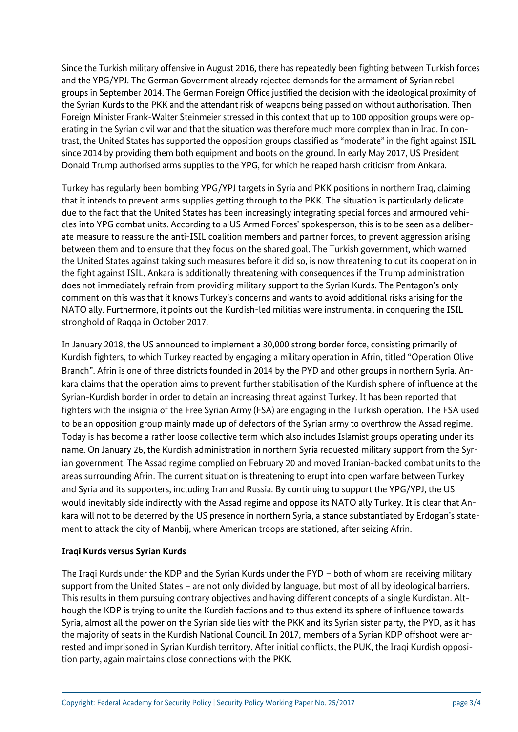Since the Turkish military offensive in August 2016, there has repeatedly been fighting between Turkish forces and the YPG/YPJ. The German Government already rejected demands for the armament of Syrian rebel groups in September 2014. The German Foreign Office justified the decision with the ideological proximity of the Syrian Kurds to the PKK and the attendant risk of weapons being passed on without authorisation. Then Foreign Minister Frank-Walter Steinmeier stressed in this context that up to 100 opposition groups were operating in the Syrian civil war and that the situation was therefore much more complex than in Iraq. In contrast, the United States has supported the opposition groups classified as "moderate" in the fight against ISIL since 2014 by providing them both equipment and boots on the ground. In early May 2017, US President Donald Trump authorised arms supplies to the YPG, for which he reaped harsh criticism from Ankara.

Turkey has regularly been bombing YPG/YPJ targets in Syria and PKK positions in northern Iraq, claiming that it intends to prevent arms supplies getting through to the PKK. The situation is particularly delicate due to the fact that the United States has been increasingly integrating special forces and armoured vehicles into YPG combat units. According to a US Armed Forces' spokesperson, this is to be seen as a deliberate measure to reassure the anti-ISIL coalition members and partner forces, to prevent aggression arising between them and to ensure that they focus on the shared goal. The Turkish government, which warned the United States against taking such measures before it did so, is now threatening to cut its cooperation in the fight against ISIL. Ankara is additionally threatening with consequences if the Trump administration does not immediately refrain from providing military support to the Syrian Kurds. The Pentagon's only comment on this was that it knows Turkey's concerns and wants to avoid additional risks arising for the NATO ally. Furthermore, it points out the Kurdish-led militias were instrumental in conquering the ISIL stronghold of Raqqa in October 2017.

In January 2018, the US announced to implement a 30,000 strong border force, consisting primarily of Kurdish fighters, to which Turkey reacted by engaging a military operation in Afrin, titled "Operation Olive Branch". Afrin is one of three districts founded in 2014 by the PYD and other groups in northern Syria. Ankara claims that the operation aims to prevent further stabilisation of the Kurdish sphere of influence at the Syrian-Kurdish border in order to detain an increasing threat against Turkey. It has been reported that fighters with the insignia of the Free Syrian Army (FSA) are engaging in the Turkish operation. The FSA used to be an opposition group mainly made up of defectors of the Syrian army to overthrow the Assad regime. Today is has become a rather loose collective term which also includes Islamist groups operating under its name. On January 26, the Kurdish administration in northern Syria requested military support from the Syrian government. The Assad regime complied on February 20 and moved Iranian-backed combat units to the areas surrounding Afrin. The current situation is threatening to erupt into open warfare between Turkey and Syria and its supporters, including Iran and Russia. By continuing to support the YPG/YPJ, the US would inevitably side indirectly with the Assad regime and oppose its NATO ally Turkey. It is clear that Ankara will not to be deterred by the US presence in northern Syria, a stance substantiated by Erdogan's statement to attack the city of Manbij, where American troops are stationed, after seizing Afrin.

### **Iraqi Kurds versus Syrian Kurds**

The Iraqi Kurds under the KDP and the Syrian Kurds under the PYD – both of whom are receiving military support from the United States – are not only divided by language, but most of all by ideological barriers. This results in them pursuing contrary objectives and having different concepts of a single Kurdistan. Although the KDP is trying to unite the Kurdish factions and to thus extend its sphere of influence towards Syria, almost all the power on the Syrian side lies with the PKK and its Syrian sister party, the PYD, as it has the majority of seats in the Kurdish National Council. In 2017, members of a Syrian KDP offshoot were arrested and imprisoned in Syrian Kurdish territory. After initial conflicts, the PUK, the Iraqi Kurdish opposition party, again maintains close connections with the PKK.